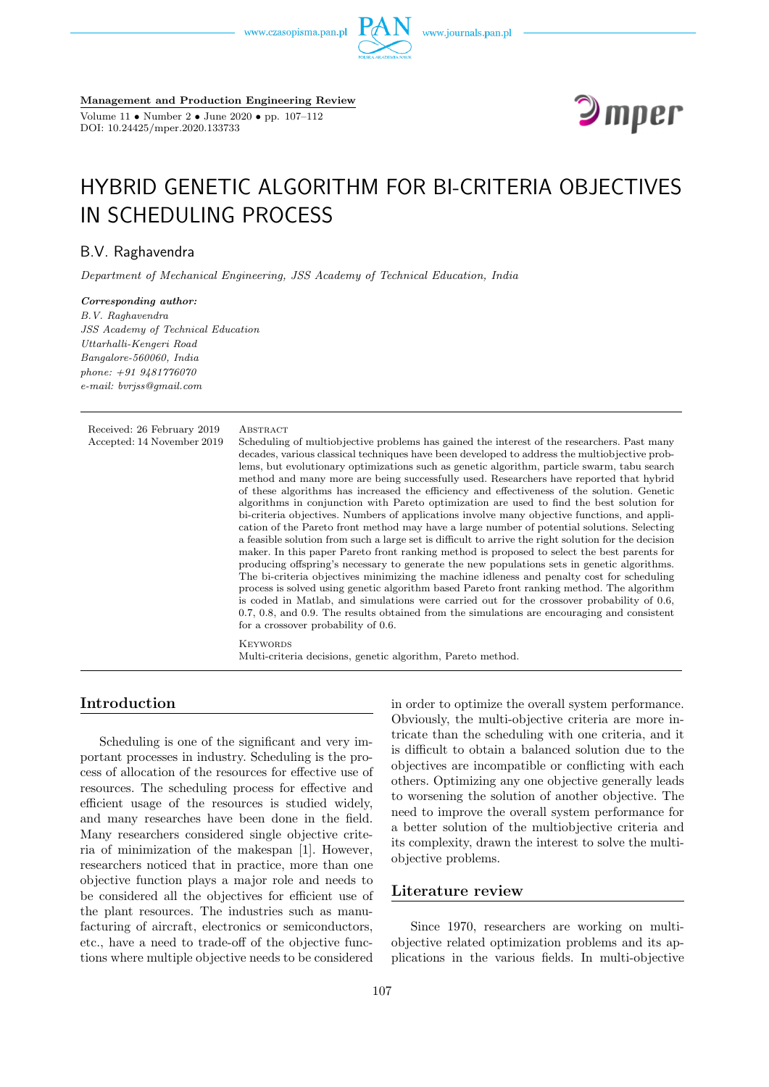www.czasopisma.pan.pl



**Management and Production Engineering Review**

Volume 11 • Number 2 • June 2020 • pp. 107–112 DOI: 10.24425/mper.2020.133733



# HYBRID GENETIC ALGORITHM FOR BI-CRITERIA OBJECTIVES IN SCHEDULING PROCESS

# B.V. Raghavendra

*Department of Mechanical Engineering, JSS Academy of Technical Education, India*

*Corresponding author: B.V. Raghavendra JSS Academy of Technical Education Uttarhalli-Kengeri Road Bangalore-560060, India phone: +91 9481776070 e-mail: bvrjss@gmail.com*

| Received: 26 February 2019<br>Accepted: 14 November 2019 | ABSTRACT<br>Scheduling of multiobjective problems has gained the interest of the researchers. Past many<br>decades, various classical techniques have been developed to address the multiobjective prob-<br>lems, but evolutionary optimizations such as genetic algorithm, particle swarm, tabu search<br>method and many more are being successfully used. Researchers have reported that hybrid<br>of these algorithms has increased the efficiency and effectiveness of the solution. Genetic<br>algorithms in conjunction with Pareto optimization are used to find the best solution for<br>bi-criteria objectives. Numbers of applications involve many objective functions, and appli-<br>cation of the Pareto front method may have a large number of potential solutions. Selecting<br>a feasible solution from such a large set is difficult to arrive the right solution for the decision<br>maker. In this paper Pareto front ranking method is proposed to select the best parents for<br>producing offspring's necessary to generate the new populations sets in genetic algorithms.<br>The bi-criteria objectives minimizing the machine idleness and penalty cost for scheduling<br>process is solved using genetic algorithm based Pareto front ranking method. The algorithm<br>is coded in Matlab, and simulations were carried out for the crossover probability of 0.6,<br>$0.7, 0.8$ , and $0.9$ . The results obtained from the simulations are encouraging and consistent |
|----------------------------------------------------------|----------------------------------------------------------------------------------------------------------------------------------------------------------------------------------------------------------------------------------------------------------------------------------------------------------------------------------------------------------------------------------------------------------------------------------------------------------------------------------------------------------------------------------------------------------------------------------------------------------------------------------------------------------------------------------------------------------------------------------------------------------------------------------------------------------------------------------------------------------------------------------------------------------------------------------------------------------------------------------------------------------------------------------------------------------------------------------------------------------------------------------------------------------------------------------------------------------------------------------------------------------------------------------------------------------------------------------------------------------------------------------------------------------------------------------------------------------------------------------------------------|
|                                                          | for a crossover probability of 0.6.<br><b>KEYWORDS</b>                                                                                                                                                                                                                                                                                                                                                                                                                                                                                                                                                                                                                                                                                                                                                                                                                                                                                                                                                                                                                                                                                                                                                                                                                                                                                                                                                                                                                                             |
|                                                          | Multi-criteria decisions, genetic algorithm, Pareto method.                                                                                                                                                                                                                                                                                                                                                                                                                                                                                                                                                                                                                                                                                                                                                                                                                                                                                                                                                                                                                                                                                                                                                                                                                                                                                                                                                                                                                                        |

# **Introduction**

Scheduling is one of the significant and very important processes in industry. Scheduling is the process of allocation of the resources for effective use of resources. The scheduling process for effective and efficient usage of the resources is studied widely, and many researches have been done in the field. Many researchers considered single objective criteria of minimization of the makespan [1]. However, researchers noticed that in practice, more than one objective function plays a major role and needs to be considered all the objectives for efficient use of the plant resources. The industries such as manufacturing of aircraft, electronics or semiconductors, etc., have a need to trade-off of the objective functions where multiple objective needs to be considered

in order to optimize the overall system performance. Obviously, the multi-objective criteria are more intricate than the scheduling with one criteria, and it is difficult to obtain a balanced solution due to the objectives are incompatible or conflicting with each others. Optimizing any one objective generally leads to worsening the solution of another objective. The need to improve the overall system performance for a better solution of the multiobjective criteria and its complexity, drawn the interest to solve the multiobjective problems.

# **Literature review**

Since 1970, researchers are working on multiobjective related optimization problems and its applications in the various fields. In multi-objective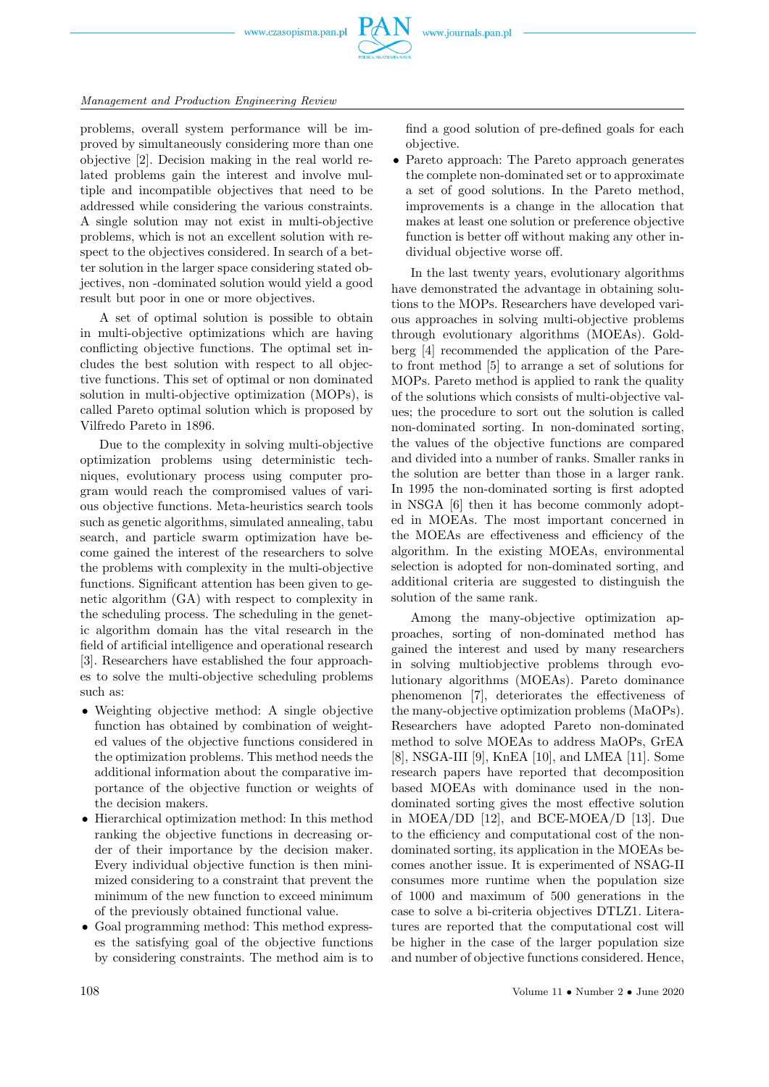

#### *Management and Production Engineering Review*

problems, overall system performance will be improved by simultaneously considering more than one objective [2]. Decision making in the real world related problems gain the interest and involve multiple and incompatible objectives that need to be addressed while considering the various constraints. A single solution may not exist in multi-objective problems, which is not an excellent solution with respect to the objectives considered. In search of a better solution in the larger space considering stated objectives, non -dominated solution would yield a good result but poor in one or more objectives.

A set of optimal solution is possible to obtain in multi-objective optimizations which are having conflicting objective functions. The optimal set includes the best solution with respect to all objective functions. This set of optimal or non dominated solution in multi-objective optimization (MOPs), is called Pareto optimal solution which is proposed by Vilfredo Pareto in 1896.

Due to the complexity in solving multi-objective optimization problems using deterministic techniques, evolutionary process using computer program would reach the compromised values of various objective functions. Meta-heuristics search tools such as genetic algorithms, simulated annealing, tabu search, and particle swarm optimization have become gained the interest of the researchers to solve the problems with complexity in the multi-objective functions. Significant attention has been given to genetic algorithm (GA) with respect to complexity in the scheduling process. The scheduling in the genetic algorithm domain has the vital research in the field of artificial intelligence and operational research [3]. Researchers have established the four approaches to solve the multi-objective scheduling problems such as:

- Weighting objective method: A single objective function has obtained by combination of weighted values of the objective functions considered in the optimization problems. This method needs the additional information about the comparative importance of the objective function or weights of the decision makers.
- Hierarchical optimization method: In this method ranking the objective functions in decreasing order of their importance by the decision maker. Every individual objective function is then minimized considering to a constraint that prevent the minimum of the new function to exceed minimum of the previously obtained functional value.
- Goal programming method: This method expresses the satisfying goal of the objective functions by considering constraints. The method aim is to

find a good solution of pre-defined goals for each objective.

• Pareto approach: The Pareto approach generates the complete non-dominated set or to approximate a set of good solutions. In the Pareto method, improvements is a change in the allocation that makes at least one solution or preference objective function is better off without making any other individual objective worse off.

In the last twenty years, evolutionary algorithms have demonstrated the advantage in obtaining solutions to the MOPs. Researchers have developed various approaches in solving multi-objective problems through evolutionary algorithms (MOEAs). Goldberg [4] recommended the application of the Pareto front method [5] to arrange a set of solutions for MOPs. Pareto method is applied to rank the quality of the solutions which consists of multi-objective values; the procedure to sort out the solution is called non-dominated sorting. In non-dominated sorting, the values of the objective functions are compared and divided into a number of ranks. Smaller ranks in the solution are better than those in a larger rank. In 1995 the non-dominated sorting is first adopted in NSGA [6] then it has become commonly adopted in MOEAs. The most important concerned in the MOEAs are effectiveness and efficiency of the algorithm. In the existing MOEAs, environmental selection is adopted for non-dominated sorting, and additional criteria are suggested to distinguish the solution of the same rank.

Among the many-objective optimization approaches, sorting of non-dominated method has gained the interest and used by many researchers in solving multiobjective problems through evolutionary algorithms (MOEAs). Pareto dominance phenomenon [7], deteriorates the effectiveness of the many-objective optimization problems (MaOPs). Researchers have adopted Pareto non-dominated method to solve MOEAs to address MaOPs, GrEA [8], NSGA-III [9], KnEA [10], and LMEA [11]. Some research papers have reported that decomposition based MOEAs with dominance used in the nondominated sorting gives the most effective solution in MOEA/DD [12], and BCE-MOEA/D [13]. Due to the efficiency and computational cost of the nondominated sorting, its application in the MOEAs becomes another issue. It is experimented of NSAG-II consumes more runtime when the population size of 1000 and maximum of 500 generations in the case to solve a bi-criteria objectives DTLZ1. Literatures are reported that the computational cost will be higher in the case of the larger population size and number of objective functions considered. Hence,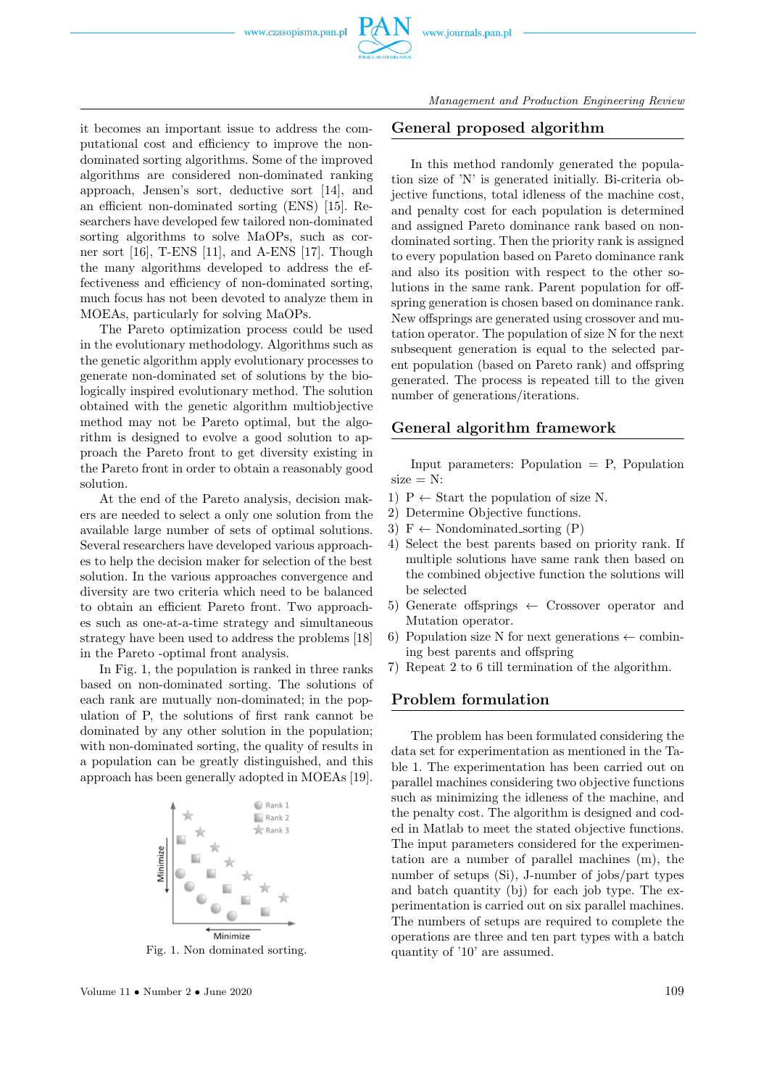www.czasopisma.pan.pl



it becomes an important issue to address the computational cost and efficiency to improve the nondominated sorting algorithms. Some of the improved algorithms are considered non-dominated ranking approach, Jensen's sort, deductive sort [14], and an efficient non-dominated sorting (ENS) [15]. Researchers have developed few tailored non-dominated sorting algorithms to solve MaOPs, such as corner sort [16], T-ENS [11], and A-ENS [17]. Though the many algorithms developed to address the effectiveness and efficiency of non-dominated sorting, much focus has not been devoted to analyze them in MOEAs, particularly for solving MaOPs.

The Pareto optimization process could be used in the evolutionary methodology. Algorithms such as the genetic algorithm apply evolutionary processes to generate non-dominated set of solutions by the biologically inspired evolutionary method. The solution obtained with the genetic algorithm multiobjective method may not be Pareto optimal, but the algorithm is designed to evolve a good solution to approach the Pareto front to get diversity existing in the Pareto front in order to obtain a reasonably good solution.

At the end of the Pareto analysis, decision makers are needed to select a only one solution from the available large number of sets of optimal solutions. Several researchers have developed various approaches to help the decision maker for selection of the best solution. In the various approaches convergence and diversity are two criteria which need to be balanced to obtain an efficient Pareto front. Two approaches such as one-at-a-time strategy and simultaneous strategy have been used to address the problems [18] in the Pareto -optimal front analysis.

In Fig. 1, the population is ranked in three ranks based on non-dominated sorting. The solutions of each rank are mutually non-dominated; in the population of P, the solutions of first rank cannot be dominated by any other solution in the population; with non-dominated sorting, the quality of results in a population can be greatly distinguished, and this approach has been generally adopted in MOEAs [19].



Fig. 1. Non dominated sorting.

## **General proposed algorithm**

In this method randomly generated the population size of 'N' is generated initially. Bi-criteria objective functions, total idleness of the machine cost, and penalty cost for each population is determined and assigned Pareto dominance rank based on nondominated sorting. Then the priority rank is assigned to every population based on Pareto dominance rank and also its position with respect to the other solutions in the same rank. Parent population for offspring generation is chosen based on dominance rank. New offsprings are generated using crossover and mutation operator. The population of size N for the next subsequent generation is equal to the selected parent population (based on Pareto rank) and offspring generated. The process is repeated till to the given number of generations/iterations.

#### **General algorithm framework**

Input parameters: Population  $=$  P, Population  $size = N$ :

- 1)  $P \leftarrow$  Start the population of size N.
- 2) Determine Objective functions.
- 3)  $F \leftarrow$  Nondominated\_sorting (P)
- 4) Select the best parents based on priority rank. If multiple solutions have same rank then based on the combined objective function the solutions will be selected
- 5) Generate offsprings  $\leftarrow$  Crossover operator and Mutation operator.
- 6) Population size N for next generations  $\leftarrow$  combining best parents and offspring
- 7) Repeat 2 to 6 till termination of the algorithm.

## **Problem formulation**

The problem has been formulated considering the data set for experimentation as mentioned in the Table 1. The experimentation has been carried out on parallel machines considering two objective functions such as minimizing the idleness of the machine, and the penalty cost. The algorithm is designed and coded in Matlab to meet the stated objective functions. The input parameters considered for the experimentation are a number of parallel machines (m), the number of setups (Si), J-number of jobs/part types and batch quantity (bj) for each job type. The experimentation is carried out on six parallel machines. The numbers of setups are required to complete the operations are three and ten part types with a batch quantity of '10' are assumed.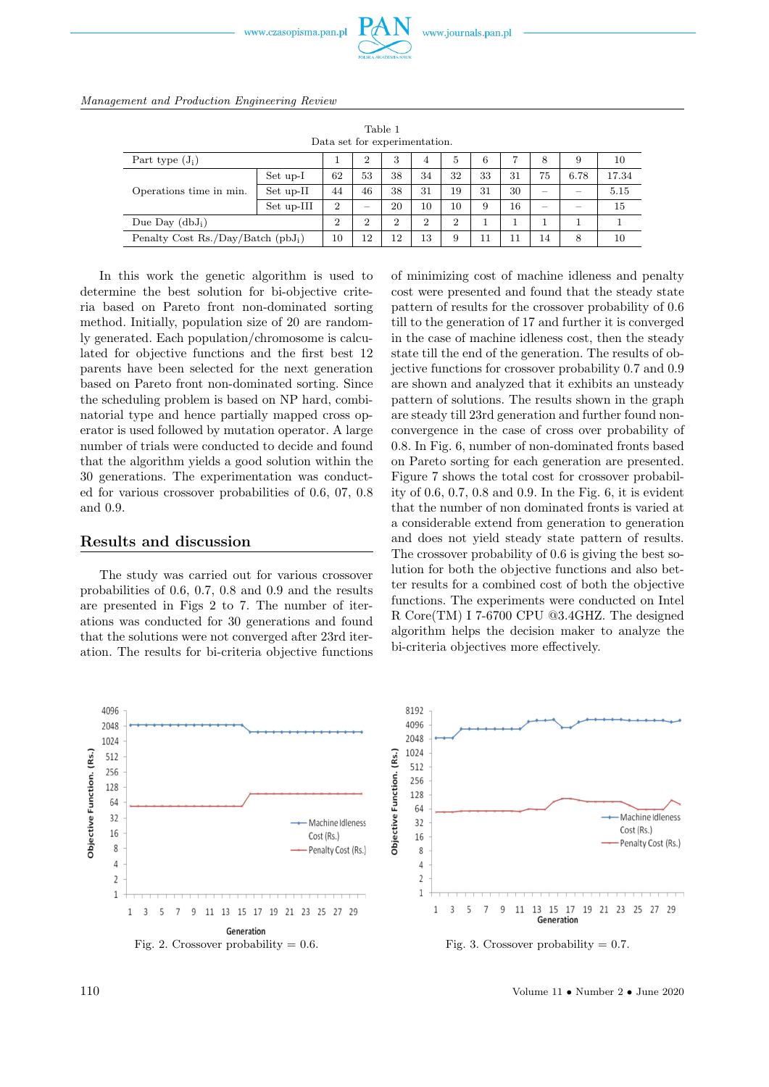



| Table 1<br>Data set for experimentation.    |            |                |                |                |                |                |    |    |    |      |       |  |
|---------------------------------------------|------------|----------------|----------------|----------------|----------------|----------------|----|----|----|------|-------|--|
| Part type $(J_i)$                           |            |                | 2              | 3              | 4              | 5              | 6  | 7  | 8  | 9    | 10    |  |
| Operations time in min.                     | Set up-I   | 62             | 53             | 38             | 34             | 32             | 33 | 31 | 75 | 6.78 | 17.34 |  |
|                                             | Set up-II  | 44             | 46             | 38             | 31             | 19             | 31 | 30 | -  |      | 5.15  |  |
|                                             | Set up-III | $\overline{2}$ | -              | 20             | 10             | 10             | 9  | 16 | -  |      | 15    |  |
| Due Day $(dbJ_i)$                           |            | $\overline{2}$ | $\overline{2}$ | $\overline{2}$ | $\overline{2}$ | $\overline{2}$ |    |    |    |      |       |  |
| Penalty Cost Rs./Day/Batch $(\text{pbJ}_i)$ |            | 10             | 12             | 12             | 13             | 9              | 11 | 11 | 14 | 8    | 10    |  |

In this work the genetic algorithm is used to determine the best solution for bi-objective criteria based on Pareto front non-dominated sorting method. Initially, population size of 20 are randomly generated. Each population/chromosome is calculated for objective functions and the first best 12 parents have been selected for the next generation based on Pareto front non-dominated sorting. Since the scheduling problem is based on NP hard, combinatorial type and hence partially mapped cross operator is used followed by mutation operator. A large number of trials were conducted to decide and found that the algorithm yields a good solution within the 30 generations. The experimentation was conducted for various crossover probabilities of 0.6, 07, 0.8 and 0.9.

#### **Results and discussion**

The study was carried out for various crossover probabilities of 0.6, 0.7, 0.8 and 0.9 and the results are presented in Figs 2 to 7. The number of iterations was conducted for 30 generations and found that the solutions were not converged after 23rd iteration. The results for bi-criteria objective functions of minimizing cost of machine idleness and penalty cost were presented and found that the steady state pattern of results for the crossover probability of 0.6 till to the generation of 17 and further it is converged in the case of machine idleness cost, then the steady state till the end of the generation. The results of objective functions for crossover probability 0.7 and 0.9 are shown and analyzed that it exhibits an unsteady pattern of solutions. The results shown in the graph are steady till 23rd generation and further found nonconvergence in the case of cross over probability of 0.8. In Fig. 6, number of non-dominated fronts based on Pareto sorting for each generation are presented. Figure 7 shows the total cost for crossover probability of 0.6, 0.7, 0.8 and 0.9. In the Fig. 6, it is evident that the number of non dominated fronts is varied at a considerable extend from generation to generation and does not yield steady state pattern of results. The crossover probability of 0.6 is giving the best solution for both the objective functions and also better results for a combined cost of both the objective functions. The experiments were conducted on Intel R Core(TM) I 7-6700 CPU @3.4GHZ. The designed algorithm helps the decision maker to analyze the bi-criteria objectives more effectively.



110 Volume 11 • Number 2 • June 2020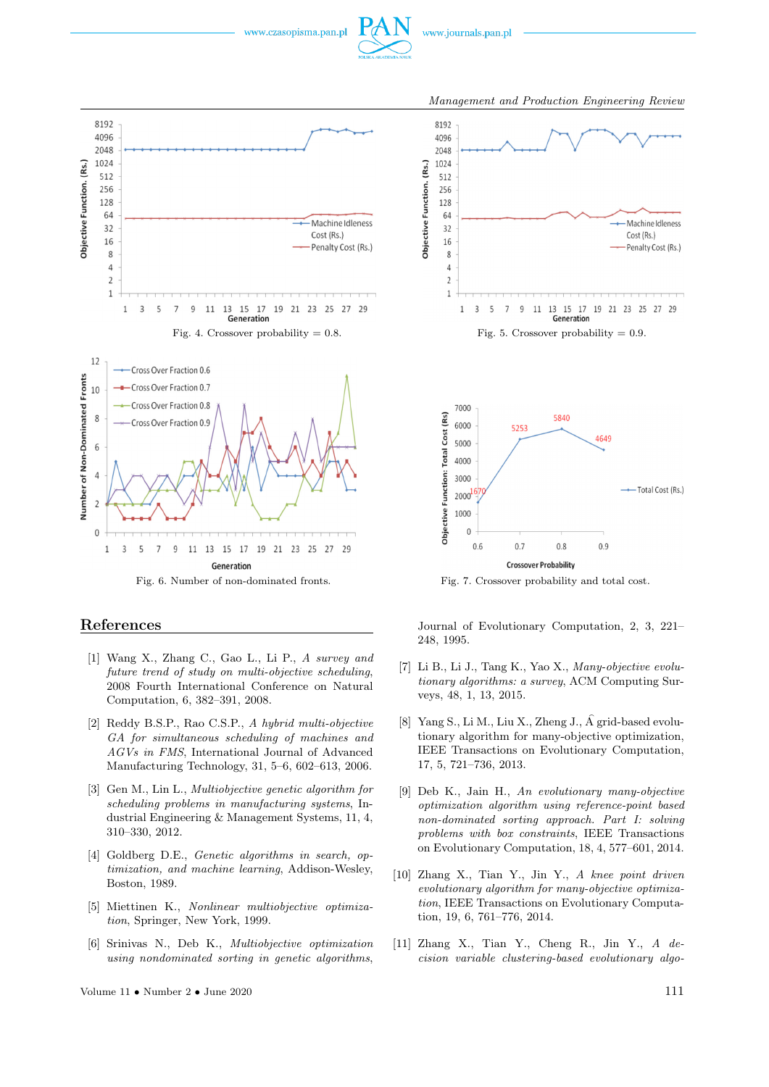



#### **References**

- [1] Wang X., Zhang C., Gao L., Li P., *A survey and future trend of study on multi-objective scheduling*, 2008 Fourth International Conference on Natural Computation, 6, 382–391, 2008.
- [2] Reddy B.S.P., Rao C.S.P., *A hybrid multi-objective GA for simultaneous scheduling of machines and AGVs in FMS*, International Journal of Advanced Manufacturing Technology, 31, 5–6, 602–613, 2006.
- [3] Gen M., Lin L., *Multiobjective genetic algorithm for scheduling problems in manufacturing systems*, Industrial Engineering & Management Systems, 11, 4, 310–330, 2012.
- [4] Goldberg D.E., *Genetic algorithms in search, optimization, and machine learning*, Addison-Wesley, Boston, 1989.
- [5] Miettinen K., *Nonlinear multiobjective optimization*, Springer, New York, 1999.
- [6] Srinivas N., Deb K., *Multiobjective optimization using nondominated sorting in genetic algorithms*,



**Crossover Probability** 

 $0.8$ 

 $0.9$ 

 $0.7$ 

 $0.6$ 

Journal of Evolutionary Computation, 2, 3, 221– 248, 1995.

- [7] Li B., Li J., Tang K., Yao X., *Many-objective evolutionary algorithms: a survey*, ACM Computing Surveys, 48, 1, 13, 2015.
- [8] Yang S., Li M., Liu X., Zheng J., A grid-based evolu tionary algorithm for many-objective optimization, IEEE Transactions on Evolutionary Computation, 17, 5, 721–736, 2013.
- [9] Deb K., Jain H., *An evolutionary many-objective optimization algorithm using reference-point based non-dominated sorting approach. Part I: solving problems with box constraints*, IEEE Transactions on Evolutionary Computation, 18, 4, 577–601, 2014.
- [10] Zhang X., Tian Y., Jin Y., *A knee point driven evolutionary algorithm for many-objective optimization*, IEEE Transactions on Evolutionary Computation, 19, 6, 761–776, 2014.
- [11] Zhang X., Tian Y., Cheng R., Jin Y., *A decision variable clustering-based evolutionary algo-*

*Management and Production Engineering Review*